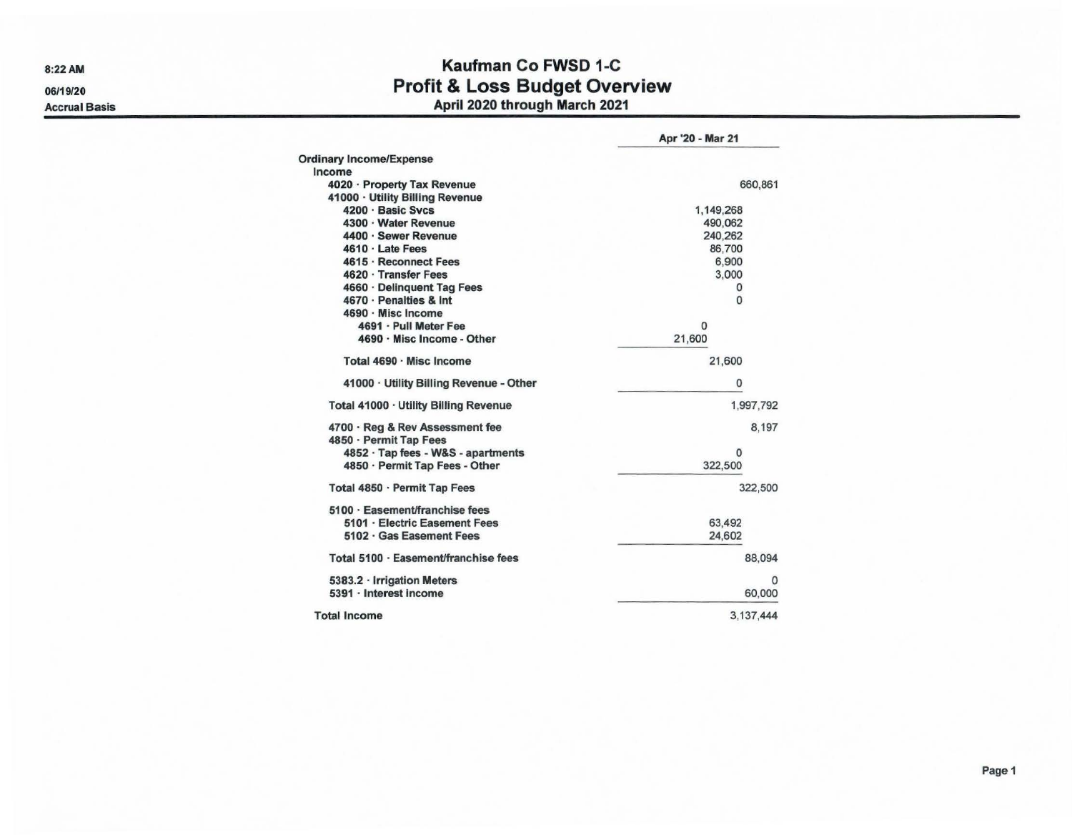8:22AM 06/19/20

Accrual Basis

## Kaufman Co FWSD 1-C Profit & Loss Budget Overview April 2020 through March 2021

|                                                           | Apr '20 - Mar 21 |
|-----------------------------------------------------------|------------------|
| <b>Ordinary Income/Expense</b>                            |                  |
| Income                                                    |                  |
| 4020 · Property Tax Revenue                               | 660,861          |
| 41000 · Utility Billing Revenue                           |                  |
| 4200 · Basic Sycs                                         | 1,149,268        |
| 4300 · Water Revenue                                      | 490,062          |
| 4400 · Sewer Revenue                                      | 240,262          |
| $4610 \cdot$ Late Fees                                    | 86,700           |
| 4615 · Reconnect Fees                                     | 6,900            |
| 4620 · Transfer Fees                                      | 3.000            |
| 4660 · Delinquent Tag Fees                                | 0                |
| 4670 · Penalties & Int                                    | $\mathbf{0}$     |
| 4690 · Misc Income                                        |                  |
| 4691 · Pull Meter Fee                                     | 0                |
| 4690 · Misc Income - Other                                | 21,600           |
| Total 4690 · Misc Income                                  | 21,600           |
| 41000 · Utility Billing Revenue - Other                   | 0                |
| Total 41000 · Utility Billing Revenue                     | 1,997,792        |
| 4700 · Reg & Rev Assessment fee<br>4850 · Permit Tap Fees | 8.197            |
| 4852 · Tap fees - W&S - apartments                        | 0                |
| 4850 · Permit Tap Fees - Other                            | 322,500          |
| Total 4850 · Permit Tap Fees                              | 322,500          |
| 5100 · Easement/franchise fees                            |                  |
| 5101 · Electric Easement Fees                             | 63.492           |
| 5102 · Gas Easement Fees                                  | 24,602           |
| Total 5100 · Easement/franchise fees                      | 88,094           |
| 5383.2 · Irrigation Meters                                | $\Omega$         |
| 5391 · Interest income                                    | 60,000           |
| <b>Total Income</b>                                       | 3.137.444        |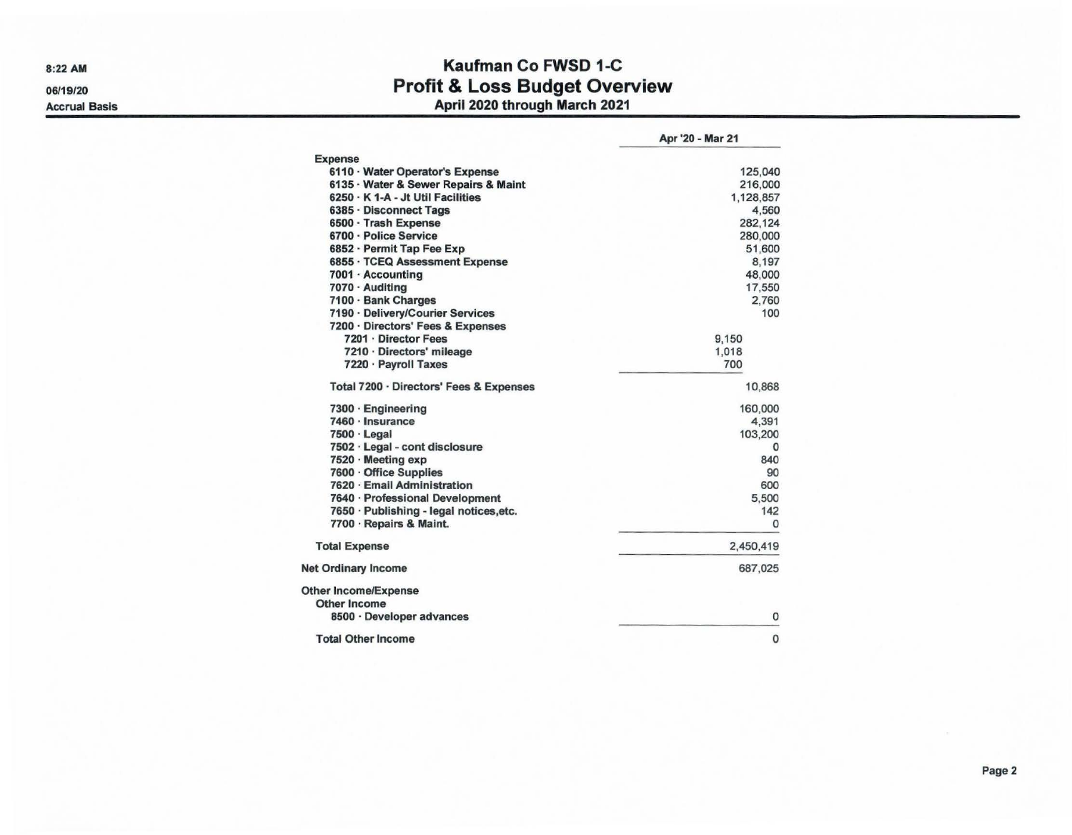8:22AM 06/19/20

Accrual Basis

## Kaufman Co FWSD 1-C Profit & Loss Budget Overview April 2020 through March 2021

|                                         | Apr '20 - Mar 21 |
|-----------------------------------------|------------------|
| <b>Expense</b>                          |                  |
| 6110 · Water Operator's Expense         | 125,040          |
| 6135 · Water & Sewer Repairs & Maint    | 216,000          |
| 6250 · K 1-A - Jt Util Facilities       | 1,128,857        |
| 6385 · Disconnect Tags                  | 4,560            |
| 6500 · Trash Expense                    | 282,124          |
| 6700 · Police Service                   | 280,000          |
| 6852 · Permit Tap Fee Exp               | 51,600           |
| 6855 · TCEQ Assessment Expense          | 8,197            |
| 7001 · Accounting                       | 48,000           |
| 7070 · Auditing                         | 17,550           |
| 7100 · Bank Charges                     | 2,760            |
| 7190 · Delivery/Courier Services        | 100              |
| 7200 · Directors' Fees & Expenses       |                  |
| 7201 · Director Fees                    | 9.150            |
| 7210 · Directors' mileage               | 1.018            |
| 7220 · Payroll Taxes                    | 700              |
| Total 7200 · Directors' Fees & Expenses | 10,868           |
| $7300 \cdot$ Engineering                | 160,000          |
| 7460 · Insurance                        | 4,391            |
| $7500 \cdot$ Legal                      | 103,200          |
| 7502 · Legal - cont disclosure          | 0                |
| 7520 · Meeting exp                      | 840              |
| 7600 · Office Supplies                  | 90               |
| 7620 · Email Administration             | 600              |
| 7640 · Professional Development         | 5,500            |
| 7650 · Publishing - legal notices, etc. | 142              |
| 7700 · Repairs & Maint.                 | 0                |
| <b>Total Expense</b>                    | 2,450,419        |
| <b>Net Ordinary Income</b>              | 687,025          |
| Other Income/Expense                    |                  |
| Other Income                            |                  |
| 8500 · Developer advances               | 0                |
| <b>Total Other Income</b>               | $\mathbf{0}$     |